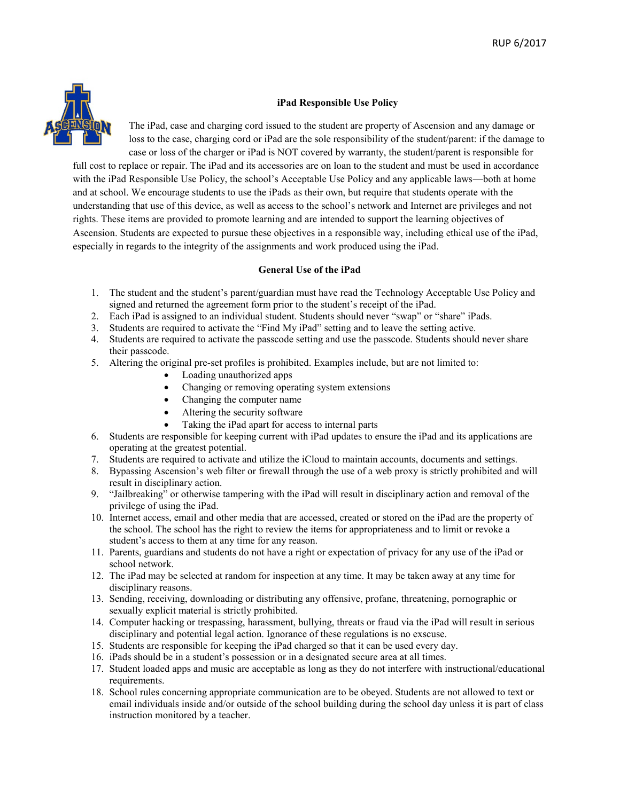

## **iPad Responsible Use Policy**

The iPad, case and charging cord issued to the student are property of Ascension and any damage or loss to the case, charging cord or iPad are the sole responsibility of the student/parent: if the damage to case or loss of the charger or iPad is NOT covered by warranty, the student/parent is responsible for

full cost to replace or repair. The iPad and its accessories are on loan to the student and must be used in accordance with the iPad Responsible Use Policy, the school's Acceptable Use Policy and any applicable laws—both at home and at school. We encourage students to use the iPads as their own, but require that students operate with the understanding that use of this device, as well as access to the school's network and Internet are privileges and not rights. These items are provided to promote learning and are intended to support the learning objectives of Ascension. Students are expected to pursue these objectives in a responsible way, including ethical use of the iPad, especially in regards to the integrity of the assignments and work produced using the iPad.

## **General Use of the iPad**

- 1. The student and the student's parent/guardian must have read the Technology Acceptable Use Policy and signed and returned the agreement form prior to the student's receipt of the iPad.
- 2. Each iPad is assigned to an individual student. Students should never "swap" or "share" iPads.
- 3. Students are required to activate the "Find My iPad" setting and to leave the setting active.
- 4. Students are required to activate the passcode setting and use the passcode. Students should never share their passcode.
- 5. Altering the original pre-set profiles is prohibited. Examples include, but are not limited to:
	- Loading unauthorized apps
	- Changing or removing operating system extensions
	- Changing the computer name
	- Altering the security software
	- Taking the iPad apart for access to internal parts
- 6. Students are responsible for keeping current with iPad updates to ensure the iPad and its applications are operating at the greatest potential.
- 7. Students are required to activate and utilize the iCloud to maintain accounts, documents and settings.
- 8. Bypassing Ascension's web filter or firewall through the use of a web proxy is strictly prohibited and will result in disciplinary action.
- 9. "Jailbreaking" or otherwise tampering with the iPad will result in disciplinary action and removal of the privilege of using the iPad.
- 10. Internet access, email and other media that are accessed, created or stored on the iPad are the property of the school. The school has the right to review the items for appropriateness and to limit or revoke a student's access to them at any time for any reason.
- 11. Parents, guardians and students do not have a right or expectation of privacy for any use of the iPad or school network.
- 12. The iPad may be selected at random for inspection at any time. It may be taken away at any time for disciplinary reasons.
- 13. Sending, receiving, downloading or distributing any offensive, profane, threatening, pornographic or sexually explicit material is strictly prohibited.
- 14. Computer hacking or trespassing, harassment, bullying, threats or fraud via the iPad will result in serious disciplinary and potential legal action. Ignorance of these regulations is no exscuse.
- 15. Students are responsible for keeping the iPad charged so that it can be used every day.
- 16. iPads should be in a student's possession or in a designated secure area at all times.
- 17. Student loaded apps and music are acceptable as long as they do not interfere with instructional/educational requirements.
- 18. School rules concerning appropriate communication are to be obeyed. Students are not allowed to text or email individuals inside and/or outside of the school building during the school day unless it is part of class instruction monitored by a teacher.